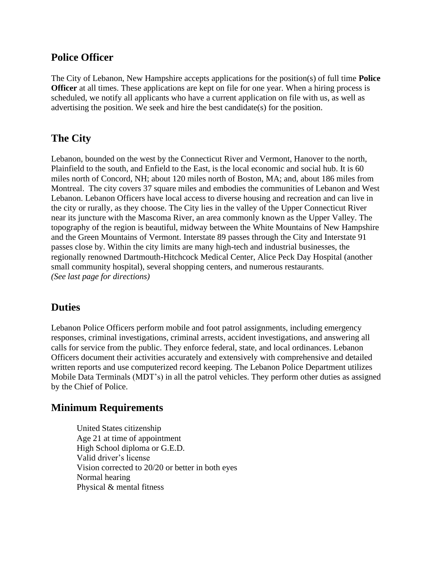## **Police Officer**

The City of Lebanon, New Hampshire accepts applications for the position(s) of full time **Police Officer** at all times. These applications are kept on file for one year. When a hiring process is scheduled, we notify all applicants who have a current application on file with us, as well as advertising the position. We seek and hire the best candidate(s) for the position.

# **The City**

Lebanon, bounded on the west by the Connecticut River and Vermont, Hanover to the north, Plainfield to the south, and Enfield to the East, is the local economic and social hub. It is 60 miles north of Concord, NH; about 120 miles north of Boston, MA; and, about 186 miles from Montreal. The city covers 37 square miles and embodies the communities of Lebanon and West Lebanon. Lebanon Officers have local access to diverse housing and recreation and can live in the city or rurally, as they choose. The City lies in the valley of the Upper Connecticut River near its juncture with the Mascoma River, an area commonly known as the Upper Valley. The topography of the region is beautiful, midway between the White Mountains of New Hampshire and the Green Mountains of Vermont. Interstate 89 passes through the City and Interstate 91 passes close by. Within the city limits are many high-tech and industrial businesses, the regionally renowned Dartmouth-Hitchcock Medical Center, Alice Peck Day Hospital (another small community hospital), several shopping centers, and numerous restaurants. *(See last page for directions)*

# **Duties**

Lebanon Police Officers perform mobile and foot patrol assignments, including emergency responses, criminal investigations, criminal arrests, accident investigations, and answering all calls for service from the public. They enforce federal, state, and local ordinances. Lebanon Officers document their activities accurately and extensively with comprehensive and detailed written reports and use computerized record keeping. The Lebanon Police Department utilizes Mobile Data Terminals (MDT's) in all the patrol vehicles. They perform other duties as assigned by the Chief of Police.

#### **Minimum Requirements**

United States citizenship Age 21 at time of appointment High School diploma or G.E.D. Valid driver's license Vision corrected to 20/20 or better in both eyes Normal hearing Physical & mental fitness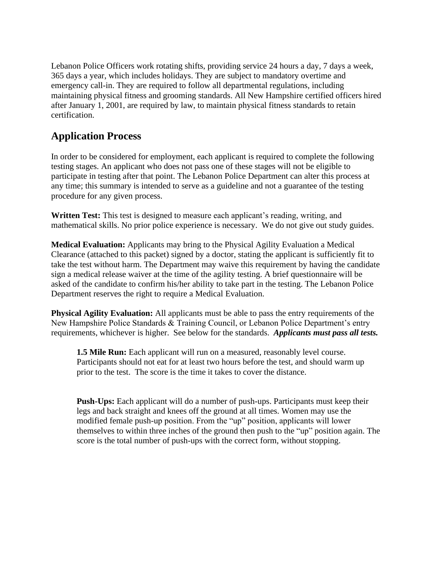Lebanon Police Officers work rotating shifts, providing service 24 hours a day, 7 days a week, 365 days a year, which includes holidays. They are subject to mandatory overtime and emergency call-in. They are required to follow all departmental regulations, including maintaining physical fitness and grooming standards. All New Hampshire certified officers hired after January 1, 2001, are required by law, to maintain physical fitness standards to retain certification.

# **Application Process**

In order to be considered for employment, each applicant is required to complete the following testing stages. An applicant who does not pass one of these stages will not be eligible to participate in testing after that point. The Lebanon Police Department can alter this process at any time; this summary is intended to serve as a guideline and not a guarantee of the testing procedure for any given process.

**Written Test:** This test is designed to measure each applicant's reading, writing, and mathematical skills. No prior police experience is necessary. We do not give out study guides.

**Medical Evaluation:** Applicants may bring to the Physical Agility Evaluation a Medical Clearance (attached to this packet) signed by a doctor, stating the applicant is sufficiently fit to take the test without harm. The Department may waive this requirement by having the candidate sign a medical release waiver at the time of the agility testing. A brief questionnaire will be asked of the candidate to confirm his/her ability to take part in the testing. The Lebanon Police Department reserves the right to require a Medical Evaluation.

**Physical Agility Evaluation:** All applicants must be able to pass the entry requirements of the New Hampshire Police Standards & Training Council, or Lebanon Police Department's entry requirements, whichever is higher. See below for the standards. *Applicants must pass all tests.*

**1.5 Mile Run:** Each applicant will run on a measured, reasonably level course. Participants should not eat for at least two hours before the test, and should warm up prior to the test. The score is the time it takes to cover the distance.

**Push-Ups:** Each applicant will do a number of push-ups. Participants must keep their legs and back straight and knees off the ground at all times. Women may use the modified female push-up position. From the "up" position, applicants will lower themselves to within three inches of the ground then push to the "up" position again. The score is the total number of push-ups with the correct form, without stopping.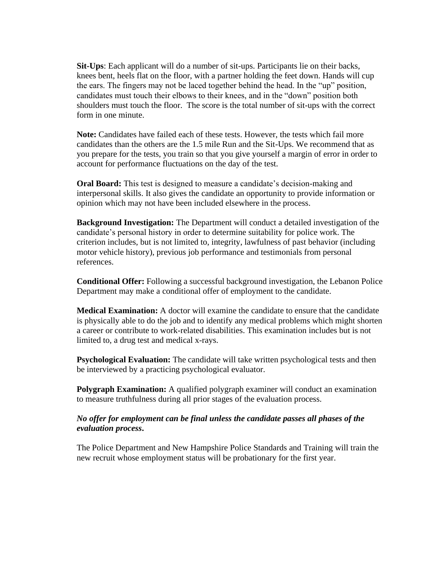**Sit-Ups**: Each applicant will do a number of sit-ups. Participants lie on their backs, knees bent, heels flat on the floor, with a partner holding the feet down. Hands will cup the ears. The fingers may not be laced together behind the head. In the "up" position, candidates must touch their elbows to their knees, and in the "down" position both shoulders must touch the floor. The score is the total number of sit-ups with the correct form in one minute.

**Note:** Candidates have failed each of these tests. However, the tests which fail more candidates than the others are the 1.5 mile Run and the Sit-Ups. We recommend that as you prepare for the tests, you train so that you give yourself a margin of error in order to account for performance fluctuations on the day of the test.

**Oral Board:** This test is designed to measure a candidate's decision-making and interpersonal skills. It also gives the candidate an opportunity to provide information or opinion which may not have been included elsewhere in the process.

**Background Investigation:** The Department will conduct a detailed investigation of the candidate's personal history in order to determine suitability for police work. The criterion includes, but is not limited to, integrity, lawfulness of past behavior (including motor vehicle history), previous job performance and testimonials from personal references.

**Conditional Offer:** Following a successful background investigation, the Lebanon Police Department may make a conditional offer of employment to the candidate.

**Medical Examination:** A doctor will examine the candidate to ensure that the candidate is physically able to do the job and to identify any medical problems which might shorten a career or contribute to work-related disabilities. This examination includes but is not limited to, a drug test and medical x-rays.

**Psychological Evaluation:** The candidate will take written psychological tests and then be interviewed by a practicing psychological evaluator.

**Polygraph Examination:** A qualified polygraph examiner will conduct an examination to measure truthfulness during all prior stages of the evaluation process.

#### *No offer for employment can be final unless the candidate passes all phases of the evaluation process***.**

The Police Department and New Hampshire Police Standards and Training will train the new recruit whose employment status will be probationary for the first year.